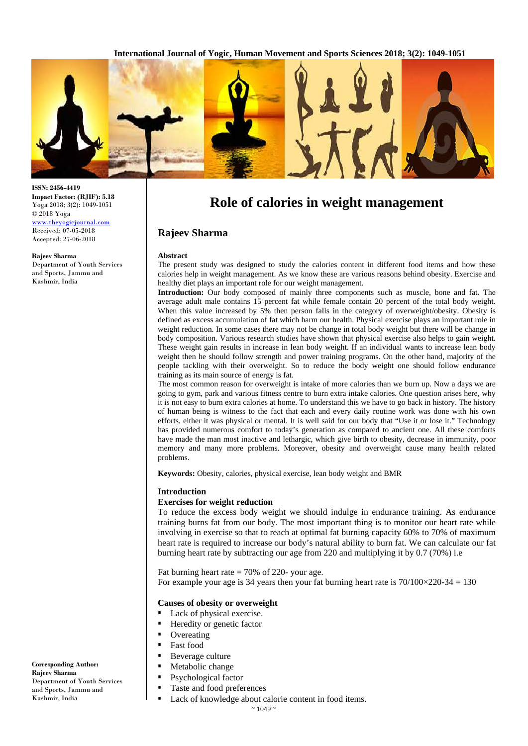

**ISSN: 2456-4419 Impact Factor: (RJIF): 5.18** Yoga 2018; 3(2): 1049-1051 © 2018 Yoga [www.theyogicjournal.com](http://www.theyogicjournal.com/) Received: 07-05-2018 Accepted: 27-06-2018

#### **Rajeev Sharma**

Department of Youth Services and Sports, Jammu and Kashmir, India

# **Role of calories in weight management**

# **Rajeev Sharma**

#### **Abstract**

The present study was designed to study the calories content in different food items and how these calories help in weight management. As we know these are various reasons behind obesity. Exercise and healthy diet plays an important role for our weight management.

**Introduction:** Our body composed of mainly three components such as muscle, bone and fat. The average adult male contains 15 percent fat while female contain 20 percent of the total body weight. When this value increased by 5% then person falls in the category of overweight/obesity. Obesity is defined as excess accumulation of fat which harm our health. Physical exercise plays an important role in weight reduction. In some cases there may not be change in total body weight but there will be change in body composition. Various research studies have shown that physical exercise also helps to gain weight. These weight gain results in increase in lean body weight. If an individual wants to increase lean body weight then he should follow strength and power training programs. On the other hand, majority of the people tackling with their overweight. So to reduce the body weight one should follow endurance training as its main source of energy is fat.

The most common reason for overweight is intake of more calories than we burn up. Now a days we are going to gym, park and various fitness centre to burn extra intake calories. One question arises here, why it is not easy to burn extra calories at home. To understand this we have to go back in history. The history of human being is witness to the fact that each and every daily routine work was done with his own efforts, either it was physical or mental. It is well said for our body that "Use it or lose it." Technology has provided numerous comfort to today's generation as compared to ancient one. All these comforts have made the man most inactive and lethargic, which give birth to obesity, decrease in immunity, poor memory and many more problems. Moreover, obesity and overweight cause many health related problems.

**Keywords:** Obesity, calories, physical exercise, lean body weight and BMR

#### **Introduction**

# **Exercises for weight reduction**

To reduce the excess body weight we should indulge in endurance training. As endurance training burns fat from our body. The most important thing is to monitor our heart rate while involving in exercise so that to reach at optimal fat burning capacity 60% to 70% of maximum heart rate is required to increase our body's natural ability to burn fat. We can calculate our fat burning heart rate by subtracting our age from 220 and multiplying it by 0.7 (70%) i.e

Fat burning heart rate  $= 70\%$  of 220- your age. For example your age is 34 years then your fat burning heart rate is  $70/100 \times 220 - 34 = 130$ 

## **Causes of obesity or overweight**

- Lack of physical exercise.
- Heredity or genetic factor
- **Overeating**
- **Fast food**
- **Beverage culture**
- **Metabolic change**
- Psychological factor
- Taste and food preferences
- Lack of knowledge about calorie content in food items.

 $~\sim$  1049  $~\sim$ 

**Corresponding Author: Rajeev Sharma** Department of Youth Services and Sports, Jammu and Kashmir, India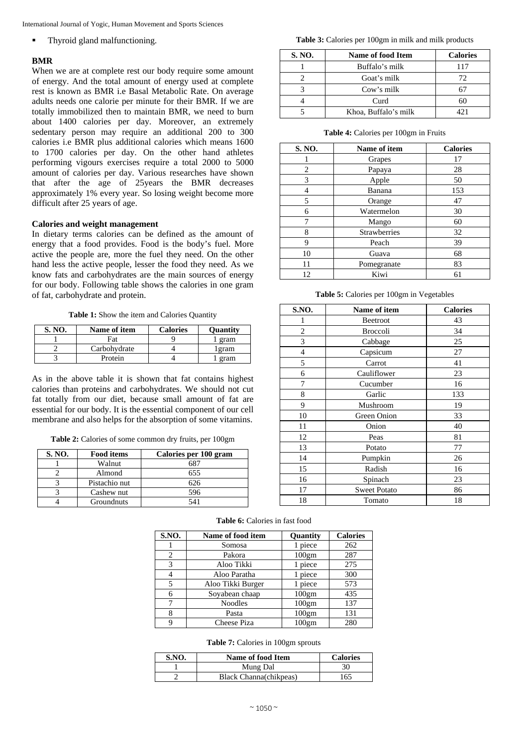International Journal of Yogic, Human Movement and Sports Sciences

• Thyroid gland malfunctioning.

# **BMR**

When we are at complete rest our body require some amount of energy. And the total amount of energy used at complete rest is known as BMR i.e Basal Metabolic Rate. On average adults needs one calorie per minute for their BMR. If we are totally immobilized then to maintain BMR, we need to burn about 1400 calories per day. Moreover, an extremely sedentary person may require an additional 200 to 300 calories i.e BMR plus additional calories which means 1600 to 1700 calories per day. On the other hand athletes performing vigours exercises require a total 2000 to 5000 amount of calories per day. Various researches have shown that after the age of 25years the BMR decreases approximately 1% every year. So losing weight become more difficult after 25 years of age.

## **Calories and weight management**

In dietary terms calories can be defined as the amount of energy that a food provides. Food is the body's fuel. More active the people are, more the fuel they need. On the other hand less the active people, lesser the food they need. As we know fats and carbohydrates are the main sources of energy for our body. Following table shows the calories in one gram of fat, carbohydrate and protein.

**Table 1:** Show the item and Calories Quantity

| <b>S. NO.</b> | Name of item | <b>Calories</b> | <b>Ouantity</b> |
|---------------|--------------|-----------------|-----------------|
|               | Fat          |                 | gram            |
|               | Carbohydrate |                 | gram            |
|               | Protein      |                 | gram            |

As in the above table it is shown that fat contains highest calories than proteins and carbohydrates. We should not cut fat totally from our diet, because small amount of fat are essential for our body. It is the essential component of our cell membrane and also helps for the absorption of some vitamins.

**Table 2:** Calories of some common dry fruits, per 100gm

| S. NO. | <b>Food items</b> | Calories per 100 gram |
|--------|-------------------|-----------------------|
|        | Walnut            |                       |
|        | Almond            | 655                   |
|        | Pistachio nut     | 626                   |
|        | Cashew nut        | 596                   |
|        | Groundnuts        |                       |

#### **Table 3:** Calories per 100gm in milk and milk products

| S. NO. | <b>Name of food Item</b> | <b>Calories</b> |
|--------|--------------------------|-----------------|
|        | Buffalo's milk           | 117             |
|        | Goat's milk              | 72              |
|        | Cow's milk               |                 |
|        | Curd                     | 60              |
|        | Khoa, Buffalo's milk     | 171             |

**Table 4:** Calories per 100gm in Fruits

| S. NO. | Name of item        | <b>Calories</b> |
|--------|---------------------|-----------------|
|        | Grapes              | 17              |
| 2      | Papaya              | 28              |
| 3      | Apple               | 50              |
| 4      | Banana              | 153             |
| 5      | Orange              | 47              |
| 6      | Watermelon          | 30              |
| 7      | Mango               | 60              |
| 8      | <b>Strawberries</b> | 32              |
| 9      | Peach               | 39              |
| 10     | Guava               | 68              |
| 11     | Pomegranate         | 83              |
| 12     | Kiwi                | 61              |

**Table 5:** Calories per 100gm in Vegetables

| <b>S.NO.</b>   | Name of item        | <b>Calories</b> |
|----------------|---------------------|-----------------|
| 1              | <b>Beetroot</b>     | 43              |
| 2              | Broccoli            | 34              |
| 3              | Cabbage             | 25              |
| $\overline{4}$ | Capsicum            | 27              |
| 5              | Carrot              | 41              |
| 6              | Cauliflower         | 23              |
| 7              | Cucumber            | 16              |
| 8              | Garlic              | 133             |
| 9              | Mushroom            | 19              |
| 10             | Green Onion         | 33              |
| 11             | Onion               | 40              |
| 12             | Peas                | 81              |
| 13             | Potato              | 77              |
| 14             | Pumpkin             | 26              |
| 15             | Radish              | 16              |
| 16             | Spinach             | 23              |
| 17             | <b>Sweet Potato</b> | 86              |
| 18             | Tomato              | 18              |

| S.NO. | Name of food item | <b>Quantity</b>   | <b>Calories</b> |
|-------|-------------------|-------------------|-----------------|
|       | Somosa            | piece             | 262             |
| 2     | Pakora            | 100 <sub>gm</sub> | 287             |
| 3     | Aloo Tikki        | piece             | 275             |
|       | Aloo Paratha      | piece             | 300             |
|       | Aloo Tikki Burger | piece             | 573             |
|       | Soyabean chaap    | 100 <sub>gm</sub> | 435             |
| 7     | <b>Noodles</b>    | 100 <sub>gm</sub> | 137             |
| 8     | Pasta             | 100 <sub>gm</sub> | 131             |
|       | Cheese Piza       | 100 <sub>gm</sub> | 280             |

## **Table 6:** Calories in fast food

#### **Table 7:** Calories in 100gm sprouts

| S.NO. | Name of food Item      | <b>Calories</b> |
|-------|------------------------|-----------------|
|       | Mung Dal               | 30              |
|       | Black Channa(chikpeas) | 165             |